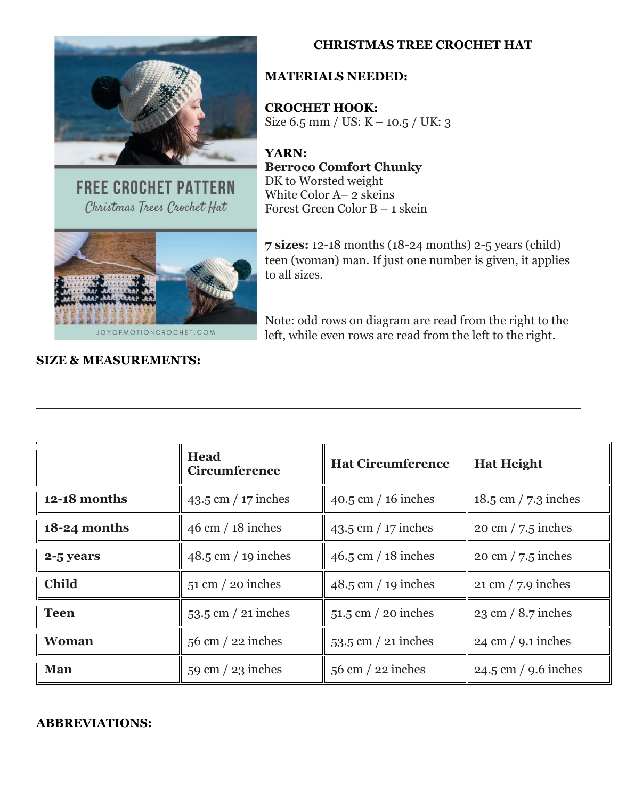

**FREE CROCHET PATTERN** Christmas Trees Crochet Hat



#### **MATERIALS NEEDED:**

**CROCHET HOOK:** Size 6.5 mm / US: K – 10.5 / UK: 3

**YARN: Berroco Comfort Chunky** DK to Worsted weight White Color A– 2 skeins Forest Green Color B – 1 skein



**7 sizes:** 12-18 months (18-24 months) 2-5 years (child) teen (woman) man. If just one number is given, it applies to all sizes.

Note: odd rows on diagram are read from the right to the left, while even rows are read from the left to the right.

|                | Head<br><b>Circumference</b>        | <b>Hat Circumference</b>    | <b>Hat Height</b>                    |
|----------------|-------------------------------------|-----------------------------|--------------------------------------|
| $12-18$ months | $43.5$ cm $/17$ inches              | $40.5$ cm $/ 16$ inches     | $18.5 \text{ cm}$ / 7.3 inches       |
| 18-24 months   | $46 \text{ cm} / 18 \text{ inches}$ | $43.5$ cm $/17$ inches      | $20 \text{ cm} / 7.5 \text{ inches}$ |
| 2-5 years      | $48.5$ cm $/ 19$ inches             | $46.5$ cm $/ 18$ inches     | $20 \text{ cm} / 7.5 \text{ inches}$ |
| <b>Child</b>   | $51 \text{ cm}$ / 20 inches         | $48.5$ cm $/ 19$ inches     | $21 \text{ cm}$ / 7.9 inches         |
| Teen           | $53.5$ cm $/$ 21 inches             | $51.5$ cm $/20$ inches      | $23 \text{ cm} / 8.7 \text{ inches}$ |
| <b>Woman</b>   | $56$ cm $/$ 22 inches               | $53.5$ cm $/$ 21 inches     | $24 \text{ cm} / 9.1 \text{ inches}$ |
| Man            | $59 \text{ cm} / 23 \text{ inches}$ | $56 \text{ cm}$ / 22 inches | $24.5 \text{ cm}$ / 9.6 inches       |

#### **ABBREVIATIONS:**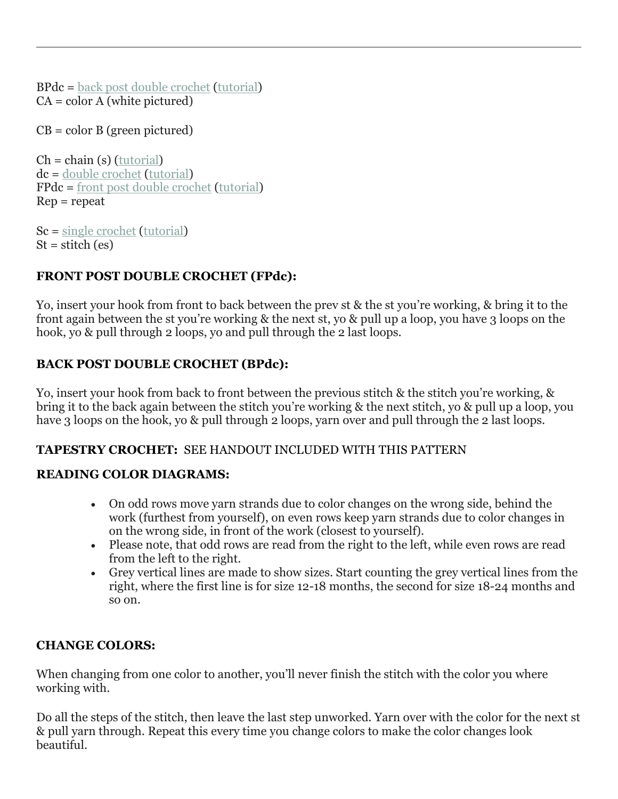BPdc = back post double [crochet](https://joyofmotioncrochet.com/how-to-crochet-the-front-post-and-back-post-double-crochet-stitch) [\(tutorial\)](https://joyofmotioncrochet.com/how-to-crochet-the-front-post-and-back-post-double-crochet-stitch/)  $CA = color A$  (white pictured)

 $CB = color B$  (green pictured)

 $Ch = chain(s)$  [\(tutorial\)](https://joyofmotioncrochet.com/beginners-guide-to-crochet-part-1/) dc = double [crochet](https://joyofmotioncrochet.com/how-to-crochet-the-double-crochet-stitch/) [\(tutorial\)](https://joyofmotioncrochet.com/how-to-crochet-the-double-crochet-stitch/) FPdc = front post double [crochet](https://joyofmotioncrochet.com/how-to-crochet-the-front-post-and-back-post-double-crochet-stitch) [\(tutorial\)](https://joyofmotioncrochet.com/how-to-crochet-the-front-post-and-back-post-double-crochet-stitch/) Rep = repeat

Sc = single [crochet](https://joyofmotioncrochet.com/the-beginners-guide-to-crochet-part-2/) [\(tutorial\)](https://joyofmotioncrochet.com/the-beginners-guide-to-crochet-part-2/)  $St = stitch (es)$ 

## **FRONT POST DOUBLE CROCHET (FPdc):**

Yo, insert your hook from front to back between the prev st & the st you're working, & bring it to the front again between the st you're working & the next st, yo & pull up a loop, you have 3 loops on the hook, yo & pull through 2 loops, yo and pull through the 2 last loops.

## **BACK POST DOUBLE CROCHET (BPdc):**

Yo, insert your hook from back to front between the previous stitch & the stitch you're working, & bring it to the back again between the stitch you're working & the next stitch, yo & pull up a loop, you have 3 loops on the hook, yo & pull through 2 loops, yarn over and pull through the 2 last loops.

#### **TAPESTRY CROCHET:** SEE HANDOUT INCLUDED WITH THIS PATTERN

## **READING COLOR DIAGRAMS:**

- On odd rows move yarn strands due to color changes on the wrong side, behind the work (furthest from yourself), on even rows keep yarn strands due to color changes in on the wrong side, in front of the work (closest to yourself).
- Please note, that odd rows are read from the right to the left, while even rows are read from the left to the right.
- Grey vertical lines are made to show sizes. Start counting the grey vertical lines from the right, where the first line is for size 12-18 months, the second for size 18-24 months and so on.

#### **CHANGE COLORS:**

When changing from one color to another, you'll never finish the stitch with the color you where working with.

Do all the steps of the stitch, then leave the last step unworked. Yarn over with the color for the next st & pull yarn through. Repeat this every time you change colors to make the color changes look beautiful.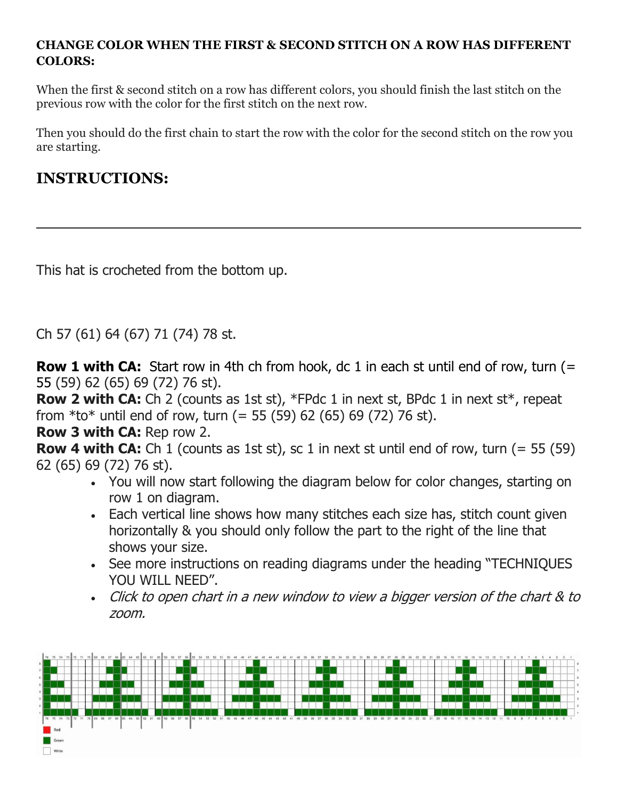## **CHANGE COLOR WHEN THE FIRST & SECOND STITCH ON A ROW HAS DIFFERENT COLORS:**

When the first & second stitch on a row has different colors, you should finish the last stitch on the previous row with the color for the first stitch on the next row.

Then you should do the first chain to start the row with the color for the second stitch on the row you are starting.

## **INSTRUCTIONS:**

This hat is crocheted from the bottom up.

Ch 57 (61) 64 (67) 71 (74) 78 st.

**Row 1 with CA:** Start row in 4th ch from hook, dc 1 in each st until end of row, turn (= 55 (59) 62 (65) 69 (72) 76 st).

**Row 2 with CA:** Ch 2 (counts as 1st st), \*FPdc 1 in next st, BPdc 1 in next st\*, repeat from  $*$ to $*$  until end of row, turn (= 55 (59) 62 (65) 69 (72) 76 st).

**Row 3 with CA:** Rep row 2.

**Row 4 with CA:** Ch 1 (counts as 1st st), sc 1 in next st until end of row, turn (= 55 (59) 62 (65) 69 (72) 76 st).

- You will now start following the diagram below for color changes, starting on row 1 on diagram.
- Each vertical line shows how many stitches each size has, stitch count given horizontally & you should only follow the part to the right of the line that shows your size.
- See more instructions on reading diagrams under the heading "TECHNIQUES YOU WILL NEED".
- Click to open chart in <sup>a</sup> new window to view <sup>a</sup> bigger version of the chart & to zoom.

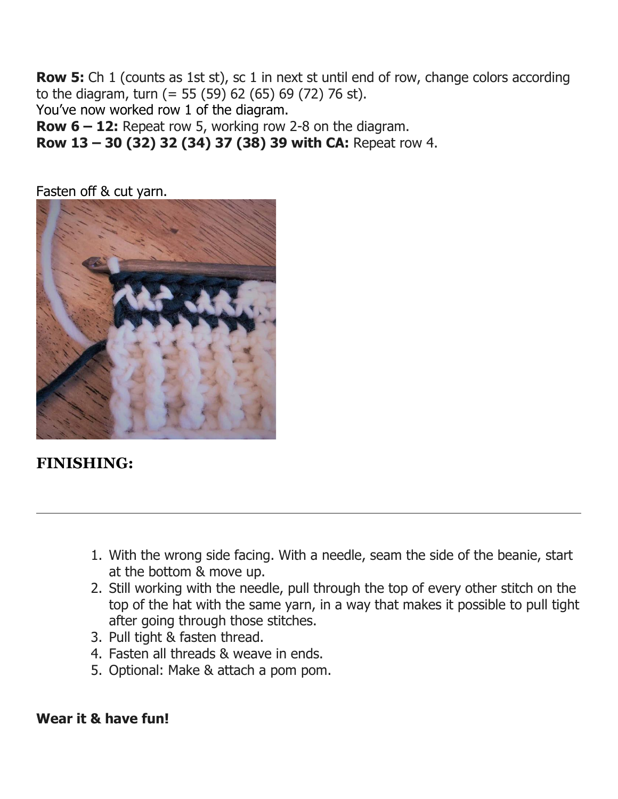**Row 5:** Ch 1 (counts as 1st st), sc 1 in next st until end of row, change colors according to the diagram, turn (= 55 (59) 62 (65) 69 (72) 76 st). You've now worked row 1 of the diagram.

**Row 6 – 12:** Repeat row 5, working row 2-8 on the diagram.

**Row 13 – 30 (32) 32 (34) 37 (38) 39 with CA:** Repeat row 4.

Fasten off & cut yarn.



# **FINISHING:**

- 1. With the wrong side facing. With a needle, seam the side of the beanie, start at the bottom & move up.
- 2. Still working with the needle, pull through the top of every other stitch on the top of the hat with the same yarn, in a way that makes it possible to pull tight after going through those stitches.
- 3. Pull tight & fasten thread.
- 4. Fasten all threads & weave in ends.
- 5. Optional: Make & attach a pom pom.

## **Wear it & have fun!**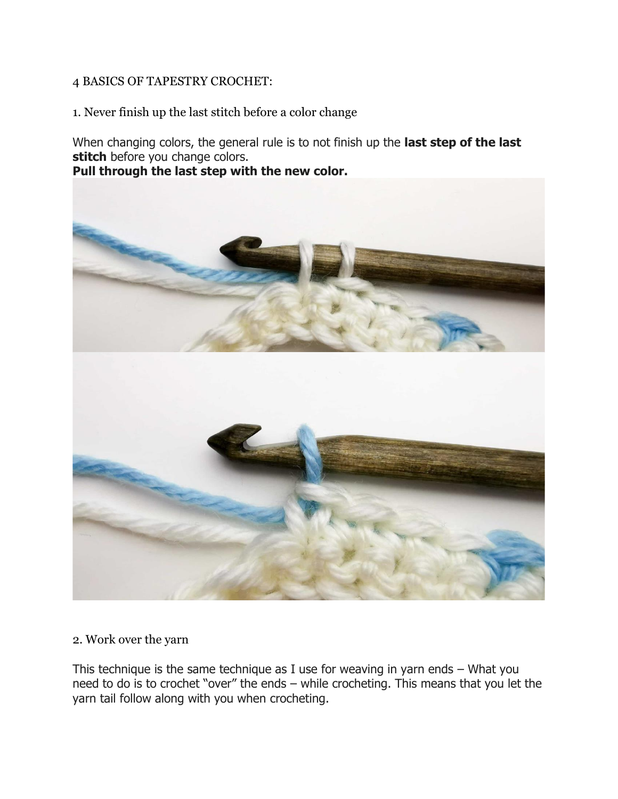#### 4 BASICS OF TAPESTRY CROCHET:

1. Never finish up the last stitch before a color change

When changing colors, the general rule is to not finish up the **last step of the last stitch** before you change colors.

**Pull through the last step with the new color.**



### 2. Work over the yarn

This technique is the same technique as I use for weaving in yarn ends – What you need to do is to crochet "over" the ends – while crocheting. This means that you let the yarn tail follow along with you when crocheting.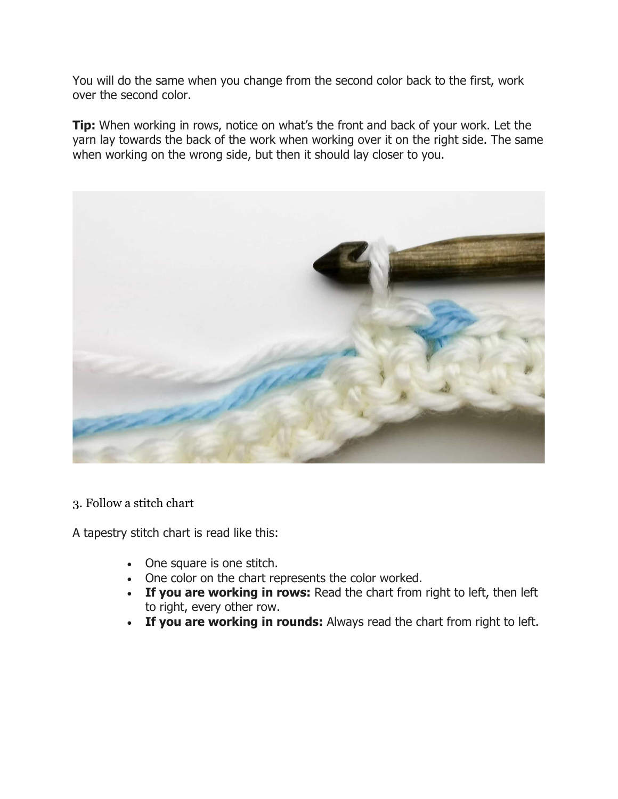You will do the same when you change from the second color back to the first, work over the second color.

**Tip:** When working in rows, notice on what's the front and back of your work. Let the yarn lay towards the back of the work when working over it on the right side. The same when working on the wrong side, but then it should lay closer to you.



3. Follow a stitch chart

A tapestry stitch chart is read like this:

- One square is one stitch.
- One color on the chart represents the color worked.
- **If you are working in rows:** Read the chart from right to left, then left to right, every other row.
- **If you are working in rounds:** Always read the chart from right to left.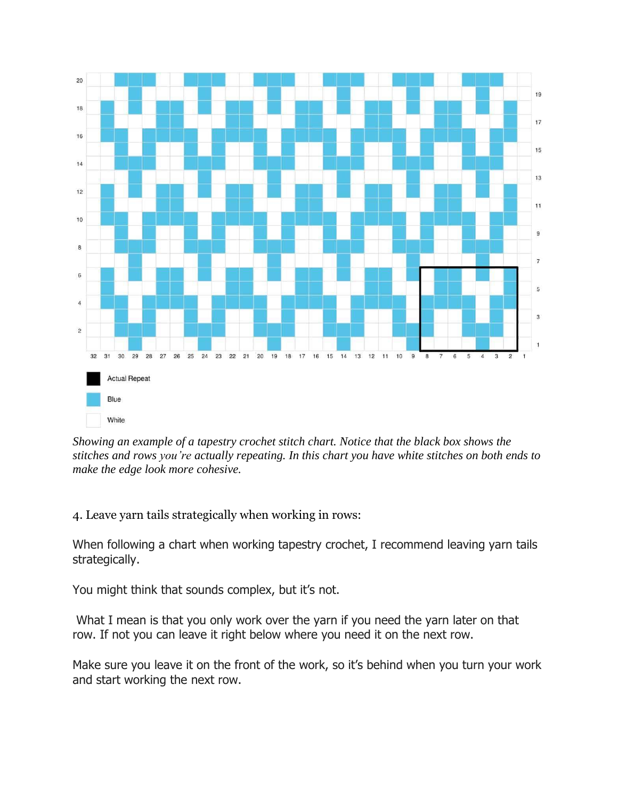

*Showing an example of a tapestry crochet stitch chart. Notice that the black box shows the stitches and rows you're actually repeating. In this chart you have white stitches on both ends to make the edge look more cohesive.*

4. Leave yarn tails strategically when working in rows:

When following a chart when working tapestry crochet, I recommend leaving yarn tails strategically.

You might think that sounds complex, but it's not.

What I mean is that you only work over the yarn if you need the yarn later on that row. If not you can leave it right below where you need it on the next row.

Make sure you leave it on the front of the work, so it's behind when you turn your work and start working the next row.